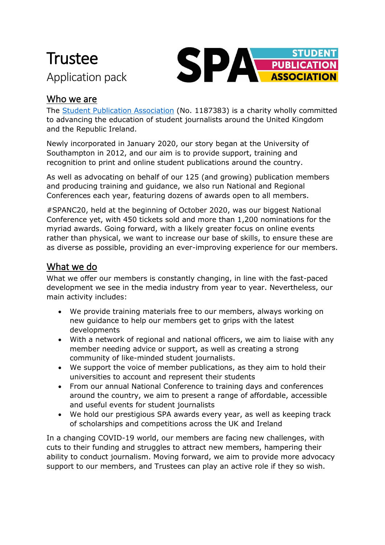# **Trustee** Application pack



### Who we are

The [Student Publication Association](http://spajournalism.com/) (No. 1187383) is a charity wholly committed to advancing the education of student journalists around the United Kingdom and the Republic Ireland.

Newly incorporated in January 2020, our story began at the University of Southampton in 2012, and our aim is to provide support, training and recognition to print and online student publications around the country.

As well as advocating on behalf of our 125 (and growing) publication members and producing training and guidance, we also run National and Regional Conferences each year, featuring dozens of awards open to all members.

#SPANC20, held at the beginning of October 2020, was our biggest National Conference yet, with 450 tickets sold and more than 1,200 nominations for the myriad awards. Going forward, with a likely greater focus on online events rather than physical, we want to increase our base of skills, to ensure these are as diverse as possible, providing an ever-improving experience for our members.

## What we do

What we offer our members is constantly changing, in line with the fast-paced development we see in the media industry from year to year. Nevertheless, our main activity includes:

- We provide training materials free to our members, always working on new guidance to help our members get to grips with the latest developments
- With a network of regional and national officers, we aim to liaise with any member needing advice or support, as well as creating a strong community of like-minded student journalists.
- We support the voice of member publications, as they aim to hold their universities to account and represent their students
- From our annual National Conference to training days and conferences around the country, we aim to present a range of affordable, accessible and useful events for student journalists
- We hold our prestigious SPA awards every year, as well as keeping track of scholarships and competitions across the UK and Ireland

In a changing COVID-19 world, our members are facing new challenges, with cuts to their funding and struggles to attract new members, hampering their ability to conduct journalism. Moving forward, we aim to provide more advocacy support to our members, and Trustees can play an active role if they so wish.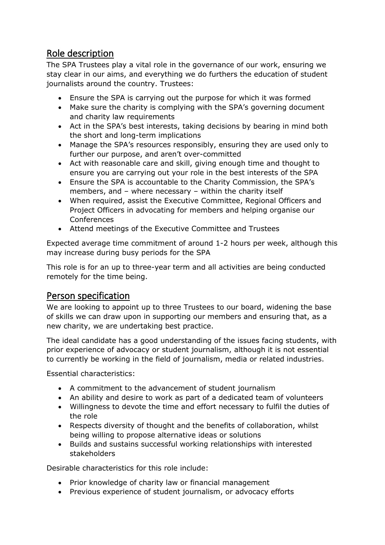#### Role description

The SPA Trustees play a vital role in the governance of our work, ensuring we stay clear in our aims, and everything we do furthers the education of student journalists around the country. Trustees:

- Ensure the SPA is carrying out the purpose for which it was formed
- Make sure the charity is complying with the SPA's governing document and charity law requirements
- Act in the SPA's best interests, taking decisions by bearing in mind both the short and long-term implications
- Manage the SPA's resources responsibly, ensuring they are used only to further our purpose, and aren't over-committed
- Act with reasonable care and skill, giving enough time and thought to ensure you are carrying out your role in the best interests of the SPA
- Ensure the SPA is accountable to the Charity Commission, the SPA's members, and – where necessary – within the charity itself
- When required, assist the Executive Committee, Regional Officers and Project Officers in advocating for members and helping organise our **Conferences**
- Attend meetings of the Executive Committee and Trustees

Expected average time commitment of around 1-2 hours per week, although this may increase during busy periods for the SPA

This role is for an up to three-year term and all activities are being conducted remotely for the time being.

#### Person specification

We are looking to appoint up to three Trustees to our board, widening the base of skills we can draw upon in supporting our members and ensuring that, as a new charity, we are undertaking best practice.

The ideal candidate has a good understanding of the issues facing students, with prior experience of advocacy or student journalism, although it is not essential to currently be working in the field of journalism, media or related industries.

Essential characteristics:

- A commitment to the advancement of student journalism
- An ability and desire to work as part of a dedicated team of volunteers
- Willingness to devote the time and effort necessary to fulfil the duties of the role
- Respects diversity of thought and the benefits of collaboration, whilst being willing to propose alternative ideas or solutions
- Builds and sustains successful working relationships with interested stakeholders

Desirable characteristics for this role include:

- Prior knowledge of charity law or financial management
- Previous experience of student journalism, or advocacy efforts